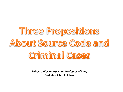## Three Propositions About Source Code and **Criminal Cases**

**Rebecca Wexler, Assistant Professor of Law, Berkeley School of Law**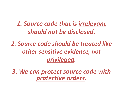*1. Source code that is irrelevant should not be disclosed.*

*2. Source code should be treated like other sensitive evidence, not privileged.*

*3. We can protect source code with protective orders.*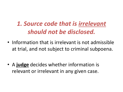## *1. Source code that is irrelevant should not be disclosed.*

• Information that is irrelevant is not admissible at trial, and not subject to criminal subpoena.

• A **judge** decides whether information is relevant or irrelevant in any given case.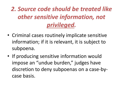*2. Source code should be treated like other sensitive information, not privileged.*

- Criminal cases routinely implicate sensitive information; if it is relevant, it is subject to subpoena.
- If producing sensitive information would impose an "undue burden," judges have discretion to deny subpoenas on a case-bycase basis.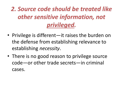*2. Source code should be treated like other sensitive information, not privileged.*

- Privilege is different—it raises the burden on the defense from establishing relevance to establishing *necessity*.
- There is no good reason to privilege source code—or other trade secrets—in criminal cases.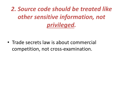*2. Source code should be treated like other sensitive information, not privileged.*

• Trade secrets law is about commercial competition, not cross-examination.